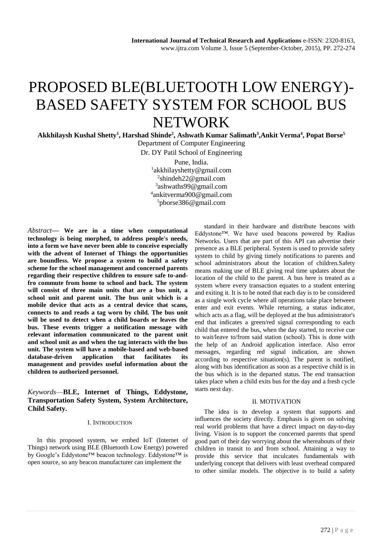# PROPOSED BLE(BLUETOOTH LOW ENERGY)- BASED SAFETY SYSTEM FOR SCHOOL BUS NETWORK

**Akkhilaysh Kushal Shetty<sup>1</sup> , Harshad Shinde<sup>2</sup> , Ashwath Kumar Salimath<sup>3</sup> ,Ankit Verma<sup>4</sup> , Popat Borse<sup>5</sup>**

Department of Computer Engineering Dr. DY Patil School of Engineering Pune, India. akkhilayshetty@gmail.com shindeh22@gmail.com ashwaths99@gmail.com ankitverma900@gmail.com pborse386@gmail.com

*Abstract***— We are in a time when computational technology is being morphed, to address people's needs, into a form we have never been able to conceive especially with the advent of Internet of Things the opportunities are boundless. We propose a system to build a safety scheme for the school management and concerned parents regarding their respective children to ensure safe to-andfro commute from home to school and back. The system will consist of three main units that are a bus unit, a school unit and parent unit. The bus unit which is a mobile device that acts as a central device that scans, connects to and reads a tag worn by child. The bus unit will be used to detect when a child boards or leaves the bus. These events trigger a notification message with relevant information communicated to the parent unit and school unit as and when the tag interacts with the bus unit. The system will have a mobile-based and web-based database-driven application that facilitates its management and provides useful information about the children to authorized personnel.**

# *Keywords*—**BLE, Internet of Things, Eddystone, Transportation Safety System, System Architecture, Child Safety.**

#### I. INTRODUCTION

In this proposed system, we embed IoT (Internet of Things) network using BLE (Bluetooth Low Energy) powered by Google's Eddystone™ beacon technology. Eddystone™ is open source, so any beacon manufacturer can implement the

standard in their hardware and distribute beacons with Eddystone™. We have used beacons powered by Radius Networks. Users that are part of this API can advertise their presence as a BLE peripheral. System is used to provide safety system to child by giving timely notifications to parents and school administrators about the location of children.Safety means making use of BLE giving real time updates about the location of the child to the parent. A bus here is treated as a system where every transaction equates to a student entering and exiting it. It is to be noted that each day is to be considered as a single work cycle where all operations take place between enter and exit events. While returning, a status indicator, which acts as a flag, will be deployed at the bus administrator's end that indicates a green/red signal corresponding to each child that entered the bus, when the day started, to receive cue to wait/leave to/from said station (school). This is done with the help of an Android application interface. Also error messages, regarding red signal indication, are shown according to respective situation(s). The parent is notified, along with bus identification as soon as a respective child is in the bus which is in the departed status. The end transaction takes place when a child exits bus for the day and a fresh cycle starts next day.

#### II. MOTIVATION

The idea is to develop a system that supports and influences the society directly. Emphasis is given on solving real world problems that have a direct impact on day-to-day living. Vision is to support the concerned parents that spend good part of their day worrying about the whereabouts of their children in transit to and from school. Attaining a way to provide this service that inculcates fundamentals with underlying concept that delivers with least overhead compared to other similar models. The objective is to build a safety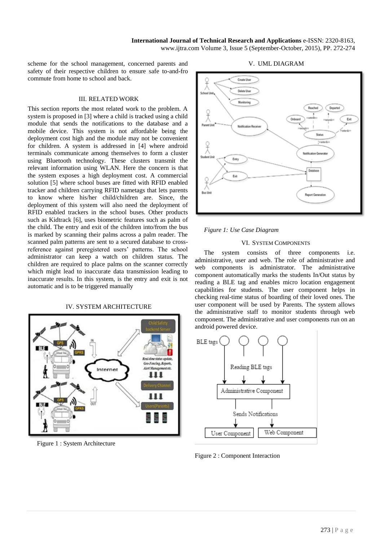**International Journal of Technical Research and Applications** e-ISSN: 2320-8163, www.ijtra.com Volume 3, Issue 5 (September-October, 2015), PP. 272-274

scheme for the school management, concerned parents and safety of their respective children to ensure safe to-and-fro commute from home to school and back.

#### III. RELATED WORK

This section reports the most related work to the problem. A system is proposed in [3] where a child is tracked using a child module that sends the notifications to the database and a mobile device. This system is not affordable being the deployment cost high and the module may not be convenient for children. A system is addressed in [4] where android terminals communicate among themselves to form a cluster using Bluetooth technology. These clusters transmit the relevant information using WLAN. Here the concern is that the system exposes a high deployment cost. A commercial solution [5] where school buses are fitted with RFID enabled tracker and children carrying RFID nametags that lets parents to know where his/her child/children are. Since, the deployment of this system will also need the deployment of RFID enabled trackers in the school buses. Other products such as Kidtrack [6], uses biometric features such as palm of the child. The entry and exit of the children into/from the bus is marked by scanning their palms across a palm reader. The scanned palm patterns are sent to a secured database to crossreference against preregistered users' patterns. The school administrator can keep a watch on children status. The children are required to place palms on the scanner correctly which might lead to inaccurate data transmission leading to inaccurate results. In this system, is the entry and exit is not automatic and is to be triggered manually

#### IV. SYSTEM ARCHITECTURE



Figure 1 : System Architecture

#### V. UML DIAGRAM



#### *Figure 1: Use Case Diagram*

#### VI. SYSTEM COMPONENTS

The system consists of three components i.e. administrative, user and web. The role of administrative and web components is administrator. The administrative component automatically marks the students In/Out status by reading a BLE tag and enables micro location engagement capabilities for students. The user component helps in checking real-time status of boarding of their loved ones. The user component will be used by Parents. The system allows the administrative staff to monitor students through web component. The administrative and user components run on an android powered device.



Figure 2 : Component Interaction